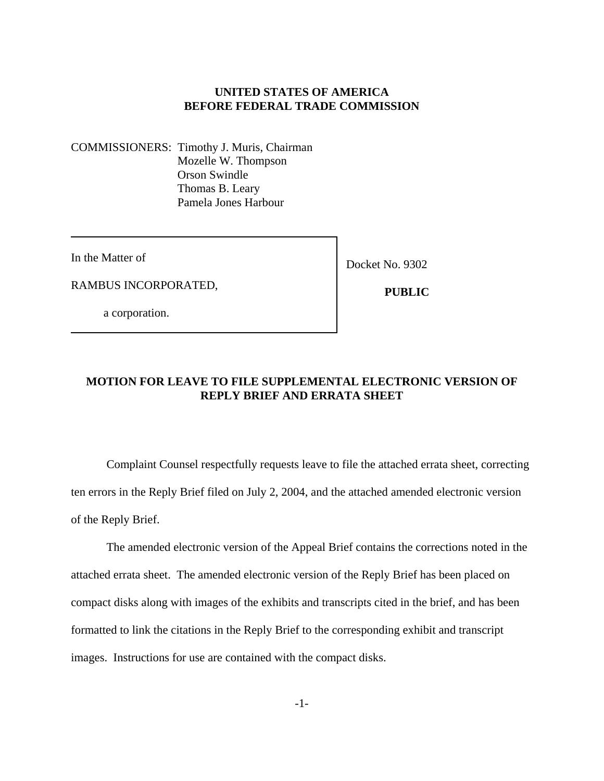#### **UNITED STATES OF AMERICA BEFORE FEDERAL TRADE COMMISSION**

COMMISSIONERS: Timothy J. Muris, Chairman Mozelle W. Thompson Orson Swindle Thomas B. Leary Pamela Jones Harbour

In the Matter of

RAMBUS INCORPORATED,

Docket No. 9302

 **PUBLIC**

a corporation.

## **MOTION FOR LEAVE TO FILE SUPPLEMENTAL ELECTRONIC VERSION OF REPLY BRIEF AND ERRATA SHEET**

Complaint Counsel respectfully requests leave to file the attached errata sheet, correcting ten errors in the Reply Brief filed on July 2, 2004, and the attached amended electronic version of the Reply Brief.

The amended electronic version of the Appeal Brief contains the corrections noted in the attached errata sheet. The amended electronic version of the Reply Brief has been placed on compact disks along with images of the exhibits and transcripts cited in the brief, and has been formatted to link the citations in the Reply Brief to the corresponding exhibit and transcript images. Instructions for use are contained with the compact disks.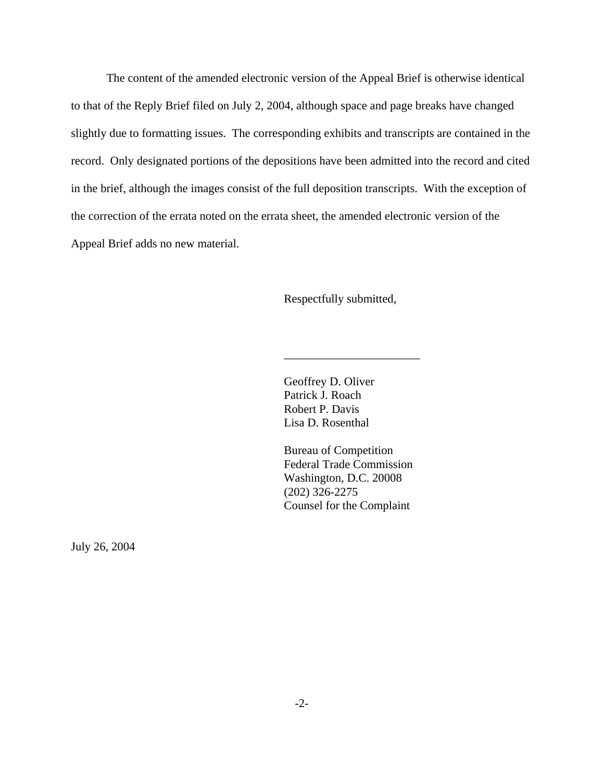The content of the amended electronic version of the Appeal Brief is otherwise identical to that of the Reply Brief filed on July 2, 2004, although space and page breaks have changed slightly due to formatting issues. The corresponding exhibits and transcripts are contained in the record. Only designated portions of the depositions have been admitted into the record and cited in the brief, although the images consist of the full deposition transcripts. With the exception of the correction of the errata noted on the errata sheet, the amended electronic version of the Appeal Brief adds no new material.

Respectfully submitted,

\_\_\_\_\_\_\_\_\_\_\_\_\_\_\_\_\_\_\_\_\_\_\_

Geoffrey D. Oliver Patrick J. Roach Robert P. Davis Lisa D. Rosenthal

Bureau of Competition Federal Trade Commission Washington, D.C. 20008 (202) 326-2275 Counsel for the Complaint

July 26, 2004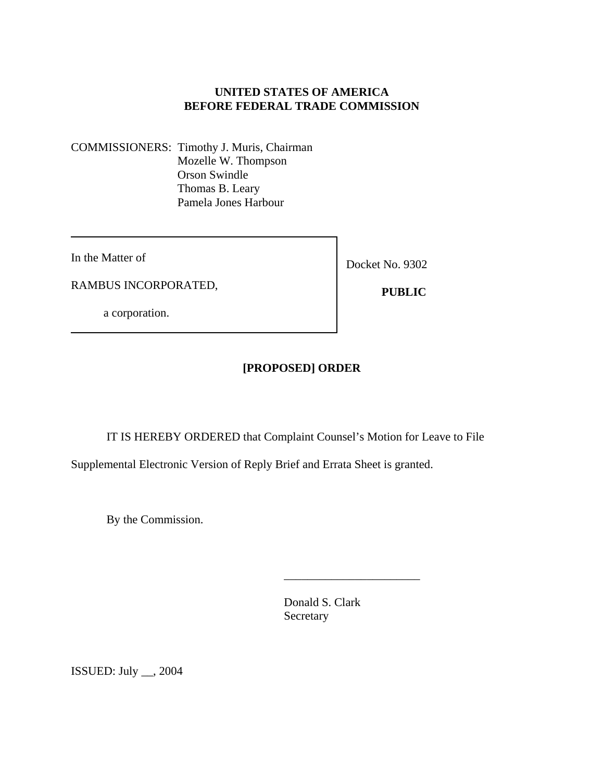## **UNITED STATES OF AMERICA BEFORE FEDERAL TRADE COMMISSION**

COMMISSIONERS: Timothy J. Muris, Chairman Mozelle W. Thompson Orson Swindle Thomas B. Leary Pamela Jones Harbour

In the Matter of

RAMBUS INCORPORATED,

a corporation.

Docket No. 9302

 **PUBLIC** 

# **[PROPOSED] ORDER**

IT IS HEREBY ORDERED that Complaint Counsel's Motion for Leave to File

Supplemental Electronic Version of Reply Brief and Errata Sheet is granted.

By the Commission.

Donald S. Clark Secretary

\_\_\_\_\_\_\_\_\_\_\_\_\_\_\_\_\_\_\_\_\_\_\_

ISSUED: July \_\_, 2004